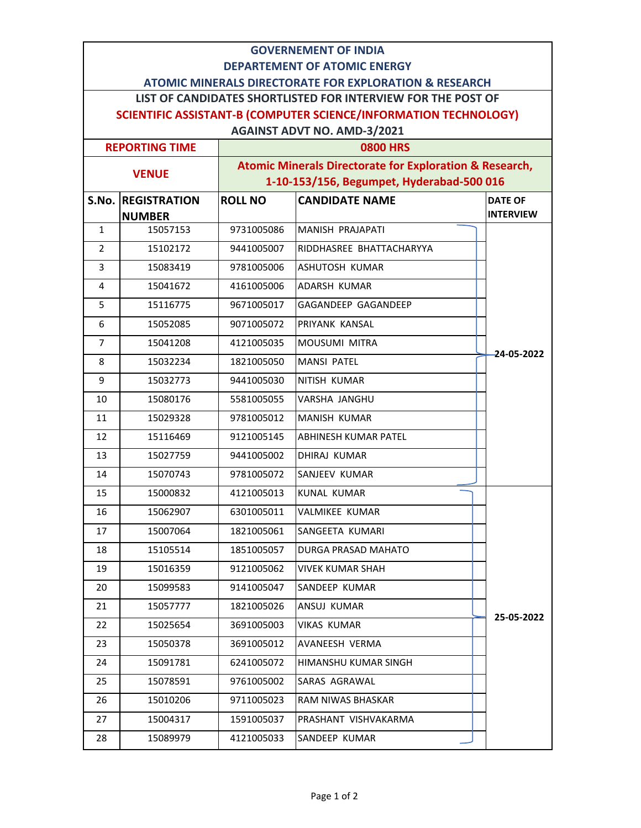| <b>GOVERNEMENT OF INDIA</b>                                                                                                       |                           |                                                         |                             |                                    |  |  |  |
|-----------------------------------------------------------------------------------------------------------------------------------|---------------------------|---------------------------------------------------------|-----------------------------|------------------------------------|--|--|--|
| <b>DEPARTEMENT OF ATOMIC ENERGY</b>                                                                                               |                           |                                                         |                             |                                    |  |  |  |
| <b>ATOMIC MINERALS DIRECTORATE FOR EXPLORATION &amp; RESEARCH</b><br>LIST OF CANDIDATES SHORTLISTED FOR INTERVIEW FOR THE POST OF |                           |                                                         |                             |                                    |  |  |  |
| <b>SCIENTIFIC ASSISTANT-B (COMPUTER SCIENCE/INFORMATION TECHNOLOGY)</b>                                                           |                           |                                                         |                             |                                    |  |  |  |
| <b>AGAINST ADVT NO. AMD-3/2021</b>                                                                                                |                           |                                                         |                             |                                    |  |  |  |
| <b>REPORTING TIME</b>                                                                                                             |                           | <b>0800 HRS</b>                                         |                             |                                    |  |  |  |
| <b>VENUE</b>                                                                                                                      |                           | Atomic Minerals Directorate for Exploration & Research, |                             |                                    |  |  |  |
|                                                                                                                                   |                           | 1-10-153/156, Begumpet, Hyderabad-500 016               |                             |                                    |  |  |  |
|                                                                                                                                   | <b>S.No. REGISTRATION</b> | <b>ROLL NO</b>                                          | <b>CANDIDATE NAME</b>       | <b>DATE OF</b><br><b>INTERVIEW</b> |  |  |  |
| $\mathbf{1}$                                                                                                                      | <b>NUMBER</b><br>15057153 | 9731005086                                              | MANISH PRAJAPATI            |                                    |  |  |  |
| $\overline{2}$                                                                                                                    | 15102172                  | 9441005007                                              | RIDDHASREE BHATTACHARYYA    |                                    |  |  |  |
| 3                                                                                                                                 | 15083419                  | 9781005006                                              | <b>ASHUTOSH KUMAR</b>       |                                    |  |  |  |
| $\overline{4}$                                                                                                                    | 15041672                  | 4161005006                                              | <b>ADARSH KUMAR</b>         |                                    |  |  |  |
| 5                                                                                                                                 | 15116775                  | 9671005017                                              | GAGANDEEP GAGANDEEP         |                                    |  |  |  |
| 6                                                                                                                                 | 15052085                  | 9071005072                                              | PRIYANK KANSAL              |                                    |  |  |  |
| $\overline{7}$                                                                                                                    | 15041208                  | 4121005035                                              | <b>MOUSUMI MITRA</b>        |                                    |  |  |  |
| 8                                                                                                                                 | 15032234                  | 1821005050                                              | <b>MANSI PATEL</b>          | -24-05-2022                        |  |  |  |
| 9                                                                                                                                 | 15032773                  | 9441005030                                              | NITISH KUMAR                |                                    |  |  |  |
| 10                                                                                                                                | 15080176                  | 5581005055                                              | VARSHA JANGHU               |                                    |  |  |  |
| 11                                                                                                                                | 15029328                  | 9781005012                                              | <b>MANISH KUMAR</b>         |                                    |  |  |  |
| 12                                                                                                                                | 15116469                  | 9121005145                                              | <b>ABHINESH KUMAR PATEL</b> |                                    |  |  |  |
| 13                                                                                                                                | 15027759                  | 9441005002                                              | <b>DHIRAJ KUMAR</b>         |                                    |  |  |  |
| 14                                                                                                                                | 15070743                  | 9781005072                                              | <b>SANJEEV KUMAR</b>        |                                    |  |  |  |
| 15                                                                                                                                | 15000832                  | 4121005013                                              | <b>KUNAL KUMAR</b>          |                                    |  |  |  |
| 16                                                                                                                                | 15062907                  | 6301005011                                              | <b>VALMIKEE KUMAR</b>       |                                    |  |  |  |
| 17                                                                                                                                | 15007064                  | 1821005061                                              | SANGEETA KUMARI             |                                    |  |  |  |
| 18                                                                                                                                | 15105514                  | 1851005057                                              | <b>DURGA PRASAD MAHATO</b>  |                                    |  |  |  |
| 19                                                                                                                                | 15016359                  | 9121005062                                              | <b>VIVEK KUMAR SHAH</b>     |                                    |  |  |  |
| 20                                                                                                                                | 15099583                  | 9141005047                                              | SANDEEP KUMAR               |                                    |  |  |  |
| 21                                                                                                                                | 15057777                  | 1821005026                                              | ANSUJ KUMAR                 | 25-05-2022                         |  |  |  |
| 22                                                                                                                                | 15025654                  | 3691005003                                              | <b>VIKAS KUMAR</b>          |                                    |  |  |  |
| 23                                                                                                                                | 15050378                  | 3691005012                                              | AVANEESH VERMA              |                                    |  |  |  |
| 24                                                                                                                                | 15091781                  | 6241005072                                              | HIMANSHU KUMAR SINGH        |                                    |  |  |  |
| 25                                                                                                                                | 15078591                  | 9761005002                                              | SARAS AGRAWAL               |                                    |  |  |  |
| 26                                                                                                                                | 15010206                  | 9711005023                                              | RAM NIWAS BHASKAR           |                                    |  |  |  |
| 27                                                                                                                                | 15004317                  | 1591005037                                              | PRASHANT VISHVAKARMA        |                                    |  |  |  |
| 28                                                                                                                                | 15089979                  | 4121005033                                              | SANDEEP KUMAR               |                                    |  |  |  |